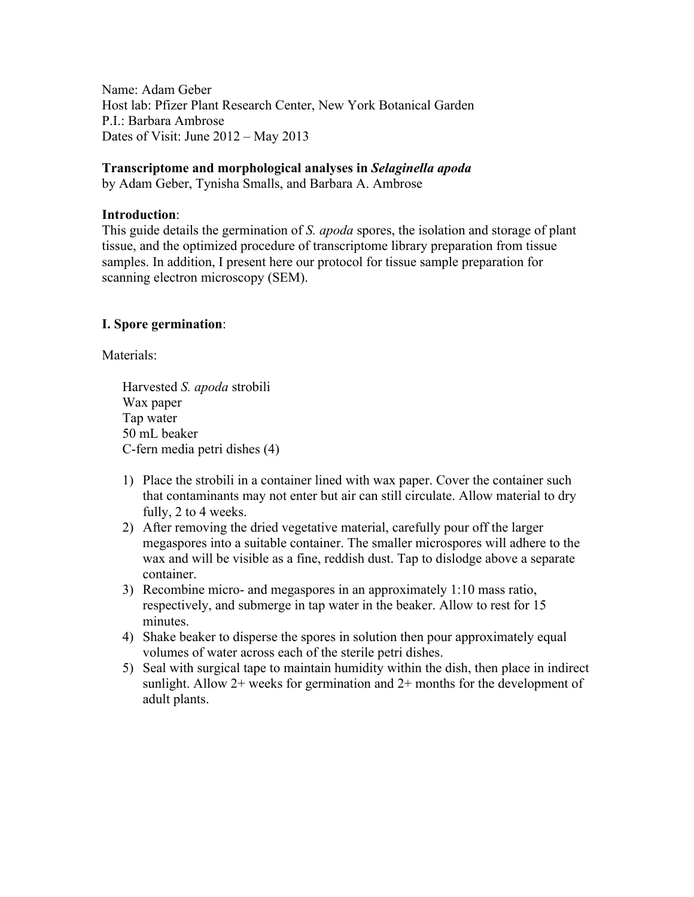Name: Adam Geber Host lab: Pfizer Plant Research Center, New York Botanical Garden P.I.: Barbara Ambrose Dates of Visit: June 2012 – May 2013

### **Transcriptome and morphological analyses in** *Selaginella apoda*

by Adam Geber, Tynisha Smalls, and Barbara A. Ambrose

### **Introduction**:

This guide details the germination of *S. apoda* spores, the isolation and storage of plant tissue, and the optimized procedure of transcriptome library preparation from tissue samples. In addition, I present here our protocol for tissue sample preparation for scanning electron microscopy (SEM).

## **I. Spore germination**:

Materials:

Harvested *S. apoda* strobili Wax paper Tap water 50 mL beaker C-fern media petri dishes (4)

- 1) Place the strobili in a container lined with wax paper. Cover the container such that contaminants may not enter but air can still circulate. Allow material to dry fully, 2 to 4 weeks.
- 2) After removing the dried vegetative material, carefully pour off the larger megaspores into a suitable container. The smaller microspores will adhere to the wax and will be visible as a fine, reddish dust. Tap to dislodge above a separate container.
- 3) Recombine micro- and megaspores in an approximately 1:10 mass ratio, respectively, and submerge in tap water in the beaker. Allow to rest for 15 minutes.
- 4) Shake beaker to disperse the spores in solution then pour approximately equal volumes of water across each of the sterile petri dishes.
- 5) Seal with surgical tape to maintain humidity within the dish, then place in indirect sunlight. Allow 2+ weeks for germination and 2+ months for the development of adult plants.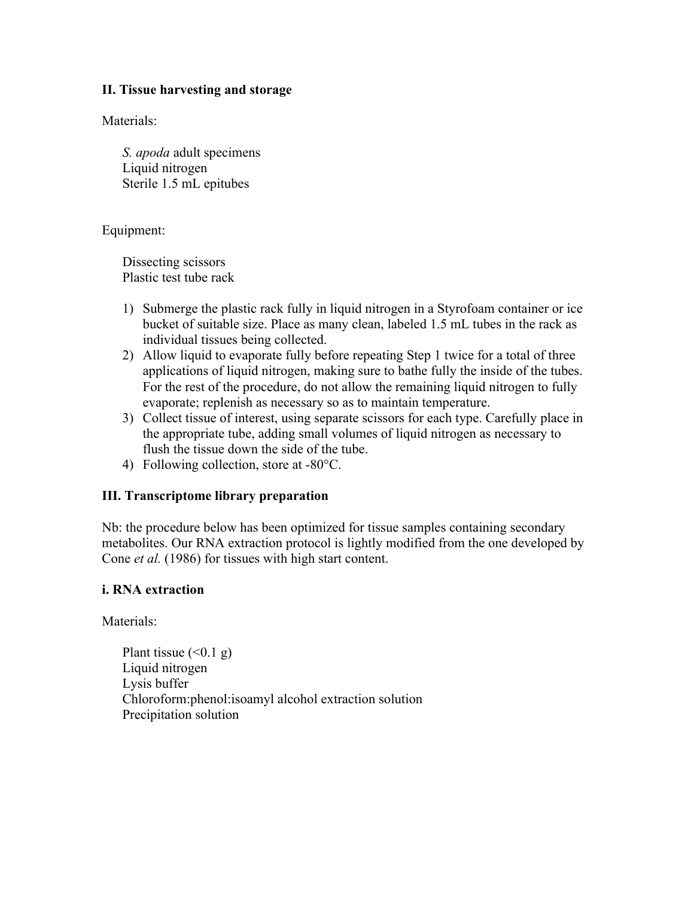### **II. Tissue harvesting and storage**

Materials:

*S. apoda* adult specimens Liquid nitrogen Sterile 1.5 mL epitubes

Equipment:

Dissecting scissors Plastic test tube rack

- 1) Submerge the plastic rack fully in liquid nitrogen in a Styrofoam container or ice bucket of suitable size. Place as many clean, labeled 1.5 mL tubes in the rack as individual tissues being collected.
- 2) Allow liquid to evaporate fully before repeating Step 1 twice for a total of three applications of liquid nitrogen, making sure to bathe fully the inside of the tubes. For the rest of the procedure, do not allow the remaining liquid nitrogen to fully evaporate; replenish as necessary so as to maintain temperature.
- 3) Collect tissue of interest, using separate scissors for each type. Carefully place in the appropriate tube, adding small volumes of liquid nitrogen as necessary to flush the tissue down the side of the tube.
- 4) Following collection, store at -80°C.

## **III. Transcriptome library preparation**

Nb: the procedure below has been optimized for tissue samples containing secondary metabolites. Our RNA extraction protocol is lightly modified from the one developed by Cone *et al.* (1986) for tissues with high start content.

## **i. RNA extraction**

Materials<sup>.</sup>

Plant tissue  $( $0.1 \text{ g}$ )$ Liquid nitrogen Lysis buffer Chloroform:phenol:isoamyl alcohol extraction solution Precipitation solution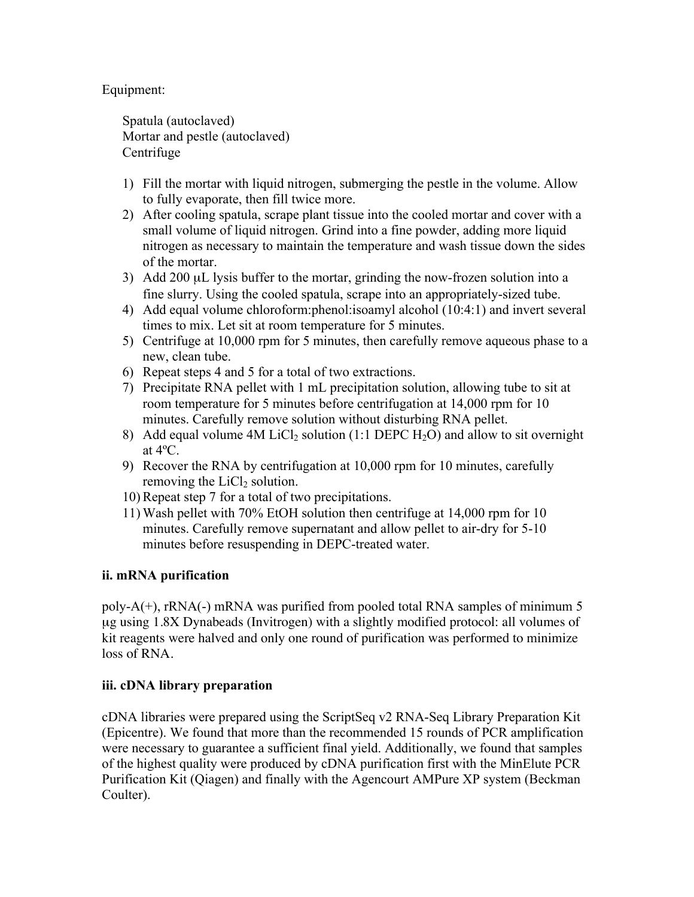## Equipment:

Spatula (autoclaved) Mortar and pestle (autoclaved) **Centrifuge** 

- 1) Fill the mortar with liquid nitrogen, submerging the pestle in the volume. Allow to fully evaporate, then fill twice more.
- 2) After cooling spatula, scrape plant tissue into the cooled mortar and cover with a small volume of liquid nitrogen. Grind into a fine powder, adding more liquid nitrogen as necessary to maintain the temperature and wash tissue down the sides of the mortar.
- 3) Add 200  $\mu$ L lysis buffer to the mortar, grinding the now-frozen solution into a fine slurry. Using the cooled spatula, scrape into an appropriately-sized tube.
- 4) Add equal volume chloroform:phenol:isoamyl alcohol (10:4:1) and invert several times to mix. Let sit at room temperature for 5 minutes.
- 5) Centrifuge at 10,000 rpm for 5 minutes, then carefully remove aqueous phase to a new, clean tube.
- 6) Repeat steps 4 and 5 for a total of two extractions.
- 7) Precipitate RNA pellet with 1 mL precipitation solution, allowing tube to sit at room temperature for 5 minutes before centrifugation at 14,000 rpm for 10 minutes. Carefully remove solution without disturbing RNA pellet.
- 8) Add equal volume  $4M$  LiCl<sub>2</sub> solution (1:1 DEPC H<sub>2</sub>O) and allow to sit overnight at 4ºC.
- 9) Recover the RNA by centrifugation at 10,000 rpm for 10 minutes, carefully removing the  $LiCl<sub>2</sub>$  solution.
- 10) Repeat step 7 for a total of two precipitations.
- 11) Wash pellet with 70% EtOH solution then centrifuge at 14,000 rpm for 10 minutes. Carefully remove supernatant and allow pellet to air-dry for 5-10 minutes before resuspending in DEPC-treated water.

# **ii. mRNA purification**

poly- $A(+)$ , rRNA(-) mRNA was purified from pooled total RNA samples of minimum 5 µg using 1.8X Dynabeads (Invitrogen) with a slightly modified protocol: all volumes of kit reagents were halved and only one round of purification was performed to minimize loss of RNA.

# **iii. cDNA library preparation**

cDNA libraries were prepared using the ScriptSeq v2 RNA-Seq Library Preparation Kit (Epicentre). We found that more than the recommended 15 rounds of PCR amplification were necessary to guarantee a sufficient final yield. Additionally, we found that samples of the highest quality were produced by cDNA purification first with the MinElute PCR Purification Kit (Qiagen) and finally with the Agencourt AMPure XP system (Beckman Coulter).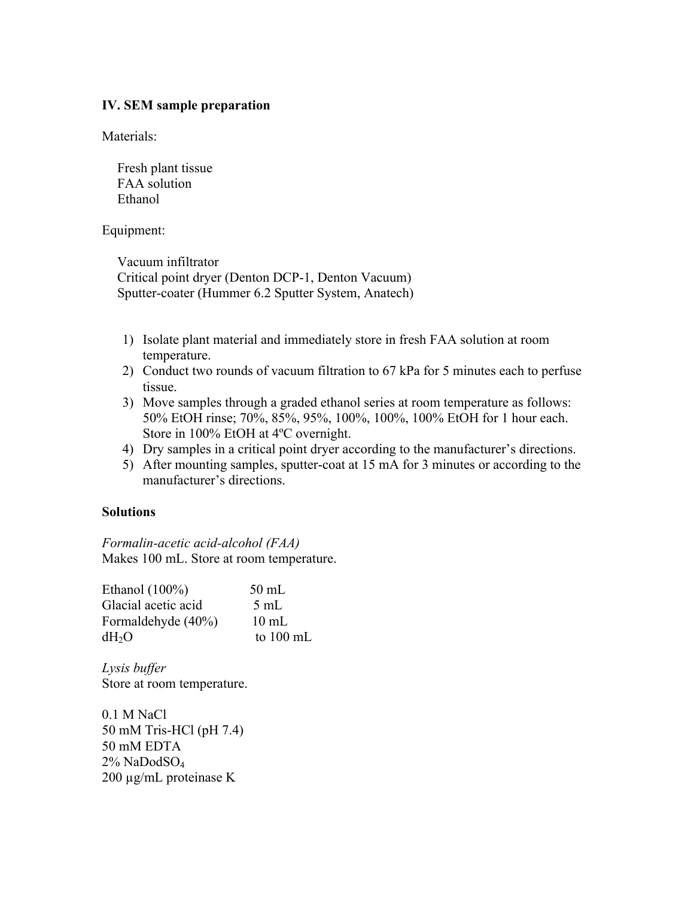### **IV. SEM sample preparation**

Materials:

Fresh plant tissue FAA solution Ethanol

Equipment:

Vacuum infiltrator Critical point dryer (Denton DCP-1, Denton Vacuum) Sputter-coater (Hummer 6.2 Sputter System, Anatech)

- 1) Isolate plant material and immediately store in fresh FAA solution at room temperature.
- 2) Conduct two rounds of vacuum filtration to 67 kPa for 5 minutes each to perfuse tissue.
- 3) Move samples through a graded ethanol series at room temperature as follows: 50% EtOH rinse; 70%, 85%, 95%, 100%, 100%, 100% EtOH for 1 hour each. Store in 100% EtOH at 4ºC overnight.
- 4) Dry samples in a critical point dryer according to the manufacturer's directions.
- 5) After mounting samples, sputter-coat at 15 mA for 3 minutes or according to the manufacturer's directions.

### **Solutions**

*Formalin-acetic acid-alcohol (FAA)* Makes 100 mL. Store at room temperature.

| Ethanol $(100\%)$   | $50$ mL             |
|---------------------|---------------------|
| Glacial acetic acid | $5 \text{ mL}$      |
| Formaldehyde (40%)  | $10 \text{ mL}$     |
| dH <sub>2</sub> O   | to $100 \text{ mL}$ |

*Lysis buffer* Store at room temperature.

0.1 M NaCl 50 mM Tris-HCl (pH 7.4) 50 mM EDTA 2% NaDodSO4 200 µg/mL proteinase K